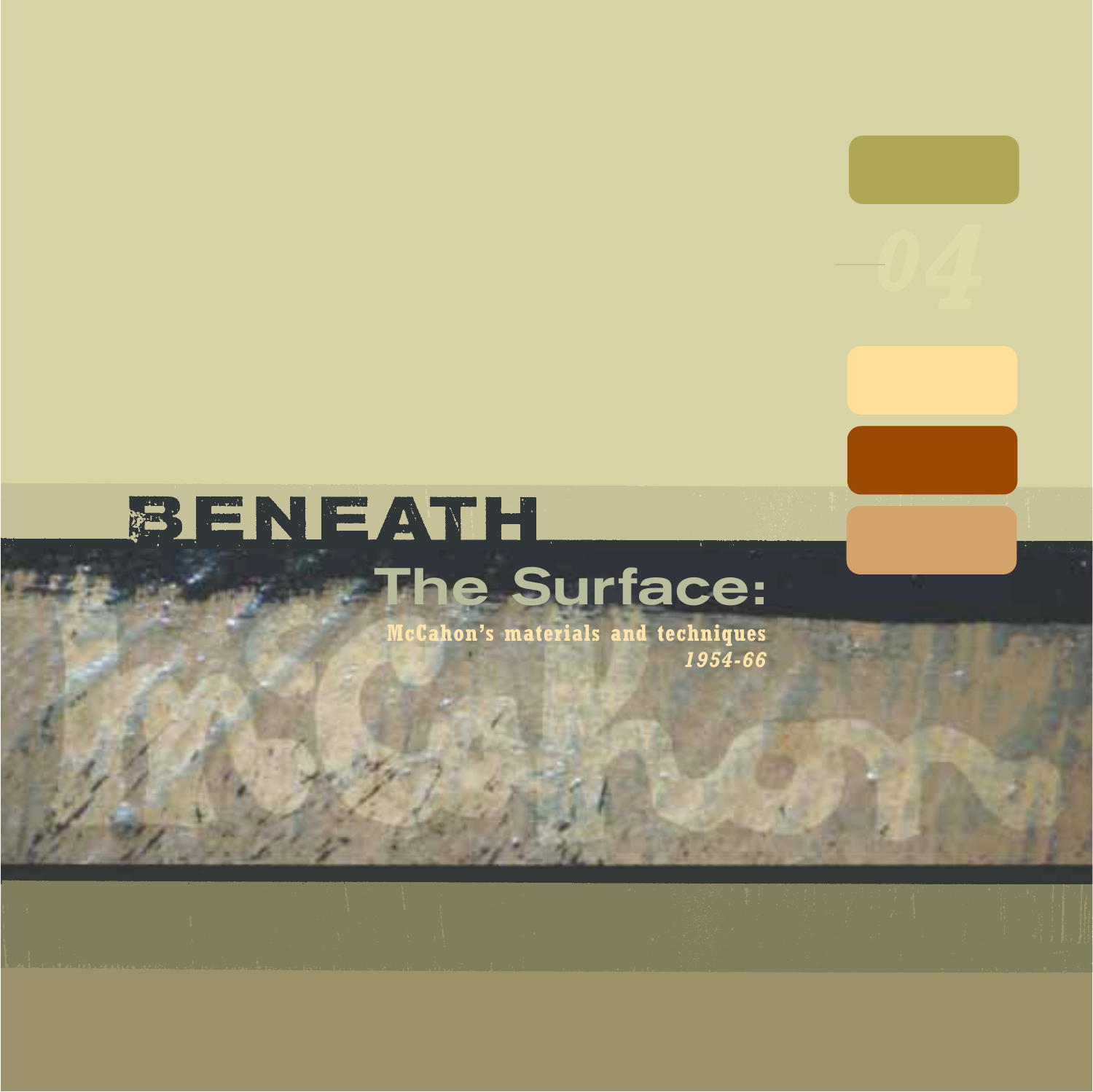# BENEATH **The Surface:**

**McCahon's materials and techniques** *1954-66*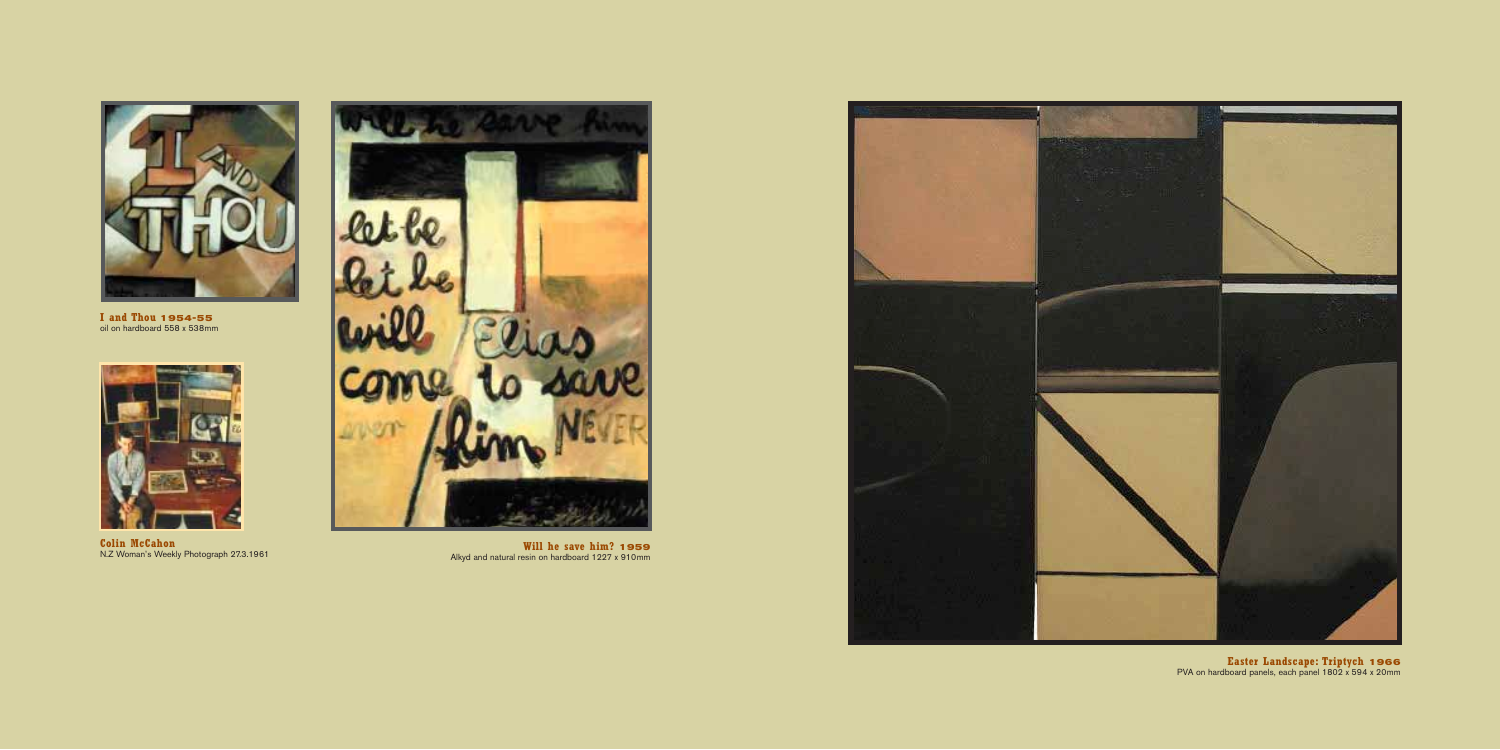**Easter Landscape: Triptych 1966** PVA on hardboard panels, each panel 1802 x 594 x 20mm



**Colin McCahon** N.Z Woman's Weekly Photograph 27.3.1961



**I and Thou 1954-55** oil on hardboard 558 x 538mm



**Will he save him? 1959** Alkyd and natural resin on hardboard 1227 x 910mm

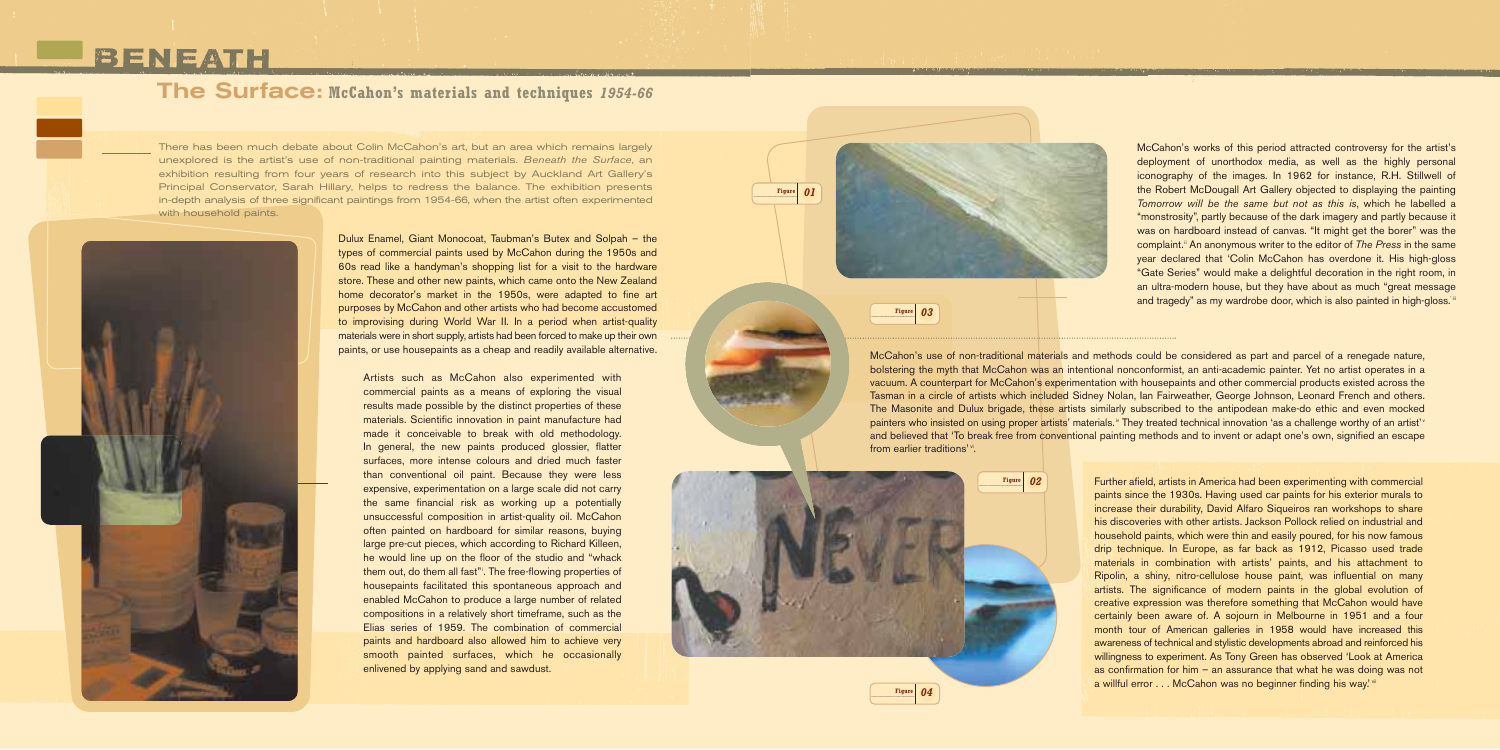Further afield, artists in America had been experimenting with commercial paints since the 1930s. Having used car paints for his exterior murals to increase their durability, David Alfaro Siqueiros ran workshops to share his discoveries with other artists. Jackson Pollock relied on industrial and household paints, which were thin and easily poured, for his now famous drip technique. In Europe, as far back as 1912, Picasso used trade materials in combination with artists' paints, and his attachment to Ripolin, a shiny, nitro-cellulose house paint, was influential on many artists. The significance of modern paints in the global evolution of creative expression was therefore something that McCahon would have certainly been aware of. A sojourn in Melbourne in 1951 and a four month tour of American galleries in 1958 would have increased this awareness of technical and stylistic developments abroad and reinforced his willingness to experiment. As Tony Green has observed 'Look at America as confirmation for him – an assurance that what he was doing was not a willful error . . . McCahon was no beginner finding his way.' vii

McCahon's use of non-traditional materials and methods could be considered as part and parcel of a renegade nature, bolstering the myth that McCahon was an intentional nonconformist, an anti-academic painter. Yet no artist operates in a vacuum. A counterpart for McCahon's experimentation with housepaints and other commercial products existed across the Tasman in a circle of artists which included Sidney Nolan, Ian Fairweather, George Johnson, Leonard French and others. The Masonite and Dulux brigade, these artists similarly subscribed to the antipodean make-do ethic and even mocked painters who insisted on using proper artists' materials.<sup>\*</sup> They treated technical innovation 'as a challenge worthy of an artist'<sup>\*</sup> and believed that 'To break free from conventional painting methods and to invent or adapt one's own, signified an escape from earlier traditions'<sup>\*</sup>.

**Figure** *01*



**Figure** *04*

McCahon's works of this period attracted controversy for the artist's deployment of unorthodox media, as well as the highly personal iconography of the images. In 1962 for instance, R.H. Stillwell of the Robert McDougall Art Gallery objected to displaying the painting *Tomorrow will be the same but not as this is*, which he labelled a "monstrosity", partly because of the dark imagery and partly because it was on hardboard instead of canvas. "It might get the borer" was the complaint.<sup>ii</sup> An anonymous writer to the editor of *The Press* in the same year declared that 'Colin McCahon has overdone it. His high-gloss "Gate Series" would make a delightful decoration in the right room, in an ultra-modern house, but they have about as much "great message and tragedy" as my wardrobe door, which is also painted in high-gloss. iii

**Figure** *03*

There has been much debate about Colin McCahon's art, but an area which remains largely unexplored is the artist's use of non-traditional painting materials. *Beneath the Surface*, an exhibition resulting from four years of research into this subject by Auckland Art Gallery's Principal Conservator, Sarah Hillary, helps to redress the balance. The exhibition presents in-depth analysis of three significant paintings from 1954-66, when the artist often experimented with household paints.



## BENEATH

### **The Surface: McCahon's materials and techniques** *1954-66*

Dulux Enamel, Giant Monocoat, Taubman's Butex and Solpah – the types of commercial paints used by McCahon during the 1950s and 60s read like a handyman's shopping list for a visit to the hardware store. These and other new paints, which came onto the New Zealand home decorator's market in the 1950s, were adapted to fine art purposes by McCahon and other artists who had become accustomed to improvising during World War II. In a period when artist-quality materials were in short supply, artists had been forced to make up their own paints, or use housepaints as a cheap and readily available alternative.

Artists such as McCahon also experimented with commercial paints as a means of exploring the visual results made possible by the distinct properties of these materials. Scientific innovation in paint manufacture had made it conceivable to break with old methodology. In general, the new paints produced glossier, flatter surfaces, more intense colours and dried much faster than conventional oil paint. Because they were less expensive, experimentation on a large scale did not carry the same financial risk as working up a potentially unsuccessful composition in artist-quality oil. McCahon often painted on hardboard for similar reasons, buying large pre-cut pieces, which according to Richard Killeen, he would line up on the floor of the studio and "whack them out, do them all fast"<sup>1</sup>. The free-flowing properties of housepaints facilitated this spontaneous approach and enabled McCahon to produce a large number of related compositions in a relatively short timeframe, such as the Elias series of 1959. The combination of commercial paints and hardboard also allowed him to achieve very smooth painted surfaces, which he occasionally enlivened by applying sand and sawdust.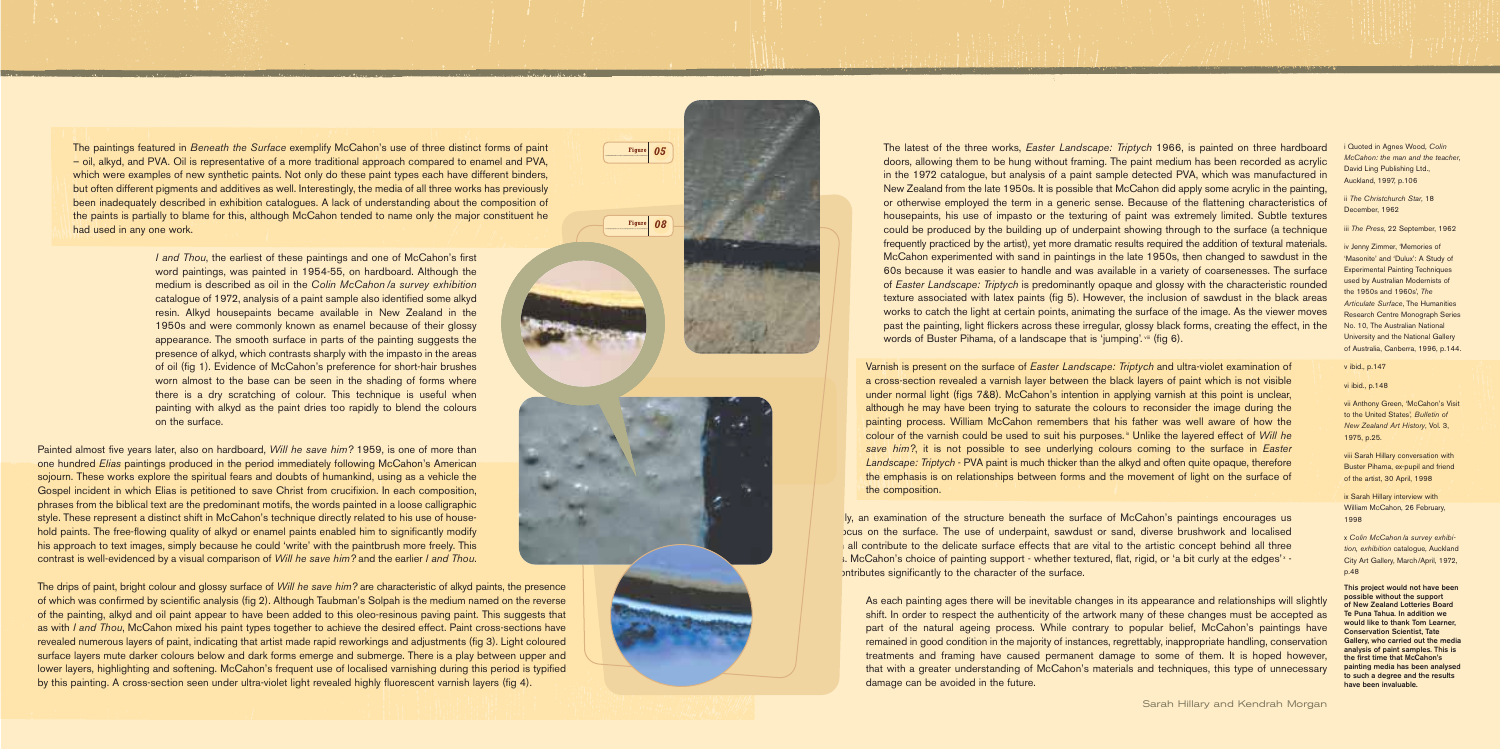i Quoted in Agnes Wood, *Colin McCahon: the man and the teacher*, David Ling Publishing Ltd., Auckland, 1997, p.106

ii *The Christchurch Star*, 18 December, 1962

iii *The Press*, 22 September, 1962

iv Jenny Zimmer, 'Memories of 'Masonite' and 'Dulux': A Study of Experimental Painting Techniques used by Australian Modernists of the 1950s and 1960s', *The Articulate Surface*, The Humanities Research Centre Monograph Series No. 10, The Australian National University and the National Gallery of Australia, Canberra, 1996, p.144.

x Colin McCahon /a survey exhibi*tion, exhibition* catalogue, Auckland City Art Gallery, March/April, 1972, p.48

v ibid., p.147

vi ibid., p.148

vii Anthony Green, 'McCahon's Visit to the United States', *Bulletin of New Zealand Art History*, Vol. 3, 1975, p.25.

The latest of the three works, *Easter Landscape: Triptych* 1966, is painted on three hardboard doors, allowing them to be hung without framing. The paint medium has been recorded as acrylic in the 1972 catalogue, but analysis of a paint sample detected PVA, which was manufactured in New Zealand from the late 1950s. It is possible that McCahon did apply some acrylic in the painting, or otherwise employed the term in a generic sense. Because of the flattening characteristics of housepaints, his use of impasto or the texturing of paint was extremely limited. Subtle textures could be produced by the building up of underpaint showing through to the surface (a technique frequently practiced by the artist), yet more dramatic results required the addition of textural materials. McCahon experimented with sand in paintings in the late 1950s, then changed to sawdust in the 60s because it was easier to handle and was available in a variety of coarsenesses. The surface of *Easter Landscape: Triptych* is predominantly opaque and glossy with the characteristic rounded texture associated with latex paints (fig 5). However, the inclusion of sawdust in the black areas works to catch the light at certain points, animating the surface of the image. As the viewer moves past the painting, light flickers across these irregular, glossy black forms, creating the effect, in the words of Buster Pihama, of a landscape that is 'jumping'. viii (fig 6).

> viii Sarah Hillary conversation with Buster Pihama, ex-pupil and friend of the artist, 30 April, 1998

ix Sarah Hillary interview with William McCahon, 26 February, 1998

**This project would not have been possible without the support of New Zealand Lotteries Board Te Puna Tahua. In addition we would like to thank Tom Learner, Conservation Scientist, Tate Gallery, who carried out the media analysis of paint samples. This is the first time that McCahon's painting media has been analysed to such a degree and the results have been invaluable.**

*I* and *Thou*, the earliest of these paintings and one of McCahon's first word paintings, was painted in 1954-55, on hardboard. Although the medium is described as oil in the *Colin McCahon /a survey exhibition* catalogue of 1972, analysis of a paint sample also identified some alkyd resin. Alkyd housepaints became available in New Zealand in the 1950s and were commonly known as enamel because of their glossy appearance. The smooth surface in parts of the painting suggests the presence of alkyd, which contrasts sharply with the impasto in the areas of oil (fig 1). Evidence of McCahon's preference for short-hair brushes worn almost to the base can be seen in the shading of forms where there is a dry scratching of colour. This technique is useful when painting with alkyd as the paint dries too rapidly to blend the colours on the surface.

Varnish is present on the surface of *Easter Landscape: Triptych* and ultra-violet examination of a cross-section revealed a varnish layer between the black layers of paint which is not visible under normal light (figs 7&8). McCahon's intention in applying varnish at this point is unclear, although he may have been trying to saturate the colours to reconsider the image during the painting process. William McCahon remembers that his father was well aware of how the colour of the varnish could be used to suit his purposes.<sup>\*</sup> Unlike the layered effect of *Will he save him?*, it is not possible to see underlying colours coming to the surface in *Easter Landscape: Triptych* - PVA paint is much thicker than the alkyd and often quite opaque, therefore the emphasis is on relationships between forms and the movement of light on the surface of the composition.

Iy, an examination of the structure beneath the surface of McCahon's paintings encourages us to restort the surface. The use of underpaint, sawdust or sand, diverse brushwork and localised all contribute to the delicate surface effects that are vital to the artistic concept behind all three images. McCahon's choice of painting support - whether textured, flat, rigid, or 'a bit curly at the edges'<sup>x</sup> but contributes significantly to the character of the surface.

As each painting ages there will be inevitable changes in its appearance and relationships will slightly shift. In order to respect the authenticity of the artwork many of these changes must be accepted as part of the natural ageing process. While contrary to popular belief, McCahon's paintings have remained in good condition in the majority of instances, regrettably, inappropriate handling, conservation treatments and framing have caused permanent damage to some of them. It is hoped however, that with a greater understanding of McCahon's materials and techniques, this type of unnecessary damage can be avoided in the future.

The paintings featured in *Beneath the Surface* exemplify McCahon's use of three distinct forms of paint – oil, alkyd, and PVA. Oil is representative of a more traditional approach compared to enamel and PVA, which were examples of new synthetic paints. Not only do these paint types each have different binders, but often different pigments and additives as well. Interestingly, the media of all three works has previously been inadequately described in exhibition catalogues. A lack of understanding about the composition of the paints is partially to blame for this, although McCahon tended to name only the major constituent he had used in any one work.

Painted almost five years later, also on hardboard, *Will he save him?* 1959, is one of more than one hundred *Elias* paintings produced in the period immediately following McCahon's American sojourn. These works explore the spiritual fears and doubts of humankind, using as a vehicle the Gospel incident in which Elias is petitioned to save Christ from crucifixion. In each composition, phrases from the biblical text are the predominant motifs, the words painted in a loose calligraphic style. These represent a distinct shift in McCahon's technique directly related to his use of household paints. The free-flowing quality of alkyd or enamel paints enabled him to significantly modify his approach to text images, simply because he could 'write' with the paintbrush more freely. This contrast is well-evidenced by a visual comparison of *Will he save him?* and the earlier *I and Thou*.

The drips of paint, bright colour and glossy surface of *Will he save him?* are characteristic of alkyd paints, the presence of which was confirmed by scientific analysis (fig 2). Although Taubman's Solpah is the medium named on the reverse of the painting, alkyd and oil paint appear to have been added to this oleo-resinous paving paint. This suggests that as with *I and Thou*, McCahon mixed his paint types together to achieve the desired effect. Paint cross-sections have revealed numerous layers of paint, indicating that artist made rapid reworkings and adjustments (fig 3). Light coloured surface layers mute darker colours below and dark forms emerge and submerge. There is a play between upper and lower layers, highlighting and softening. McCahon's frequent use of localised varnishing during this period is typified by this painting. A cross-section seen under ultra-violet light revealed highly fluorescent varnish layers (fig 4).

**Figure** *08*

**Figure** *05*